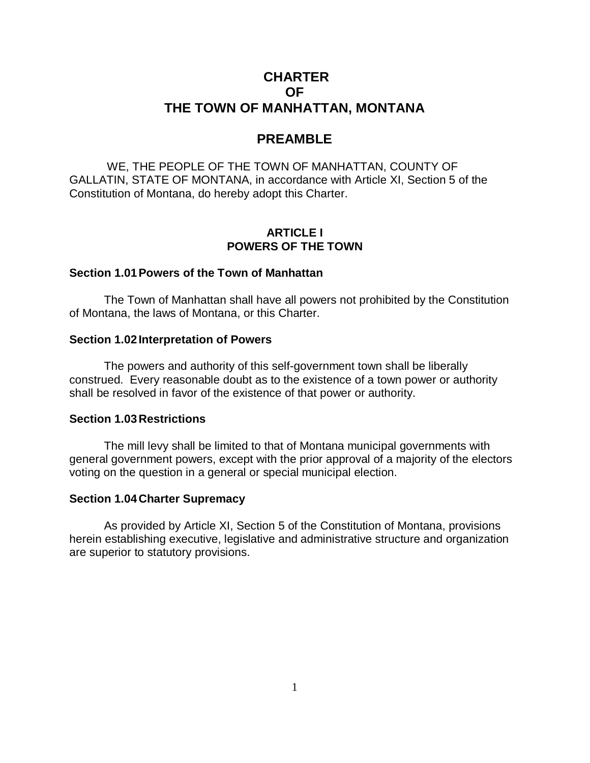# **CHARTER OF THE TOWN OF MANHATTAN, MONTANA**

# **PREAMBLE**

WE, THE PEOPLE OF THE TOWN OF MANHATTAN, COUNTY OF GALLATIN, STATE OF MONTANA, in accordance with Article XI, Section 5 of the Constitution of Montana, do hereby adopt this Charter.

#### **ARTICLE I POWERS OF THE TOWN**

#### **Section 1.01 Powers of the Town of Manhattan**

The Town of Manhattan shall have all powers not prohibited by the Constitution of Montana, the laws of Montana, or this Charter.

#### **Section 1.02 Interpretation of Powers**

The powers and authority of this self-government town shall be liberally construed. Every reasonable doubt as to the existence of a town power or authority shall be resolved in favor of the existence of that power or authority.

#### **Section 1.03Restrictions**

The mill levy shall be limited to that of Montana municipal governments with general government powers, except with the prior approval of a majority of the electors voting on the question in a general or special municipal election.

#### **Section 1.04Charter Supremacy**

As provided by Article XI, Section 5 of the Constitution of Montana, provisions herein establishing executive, legislative and administrative structure and organization are superior to statutory provisions.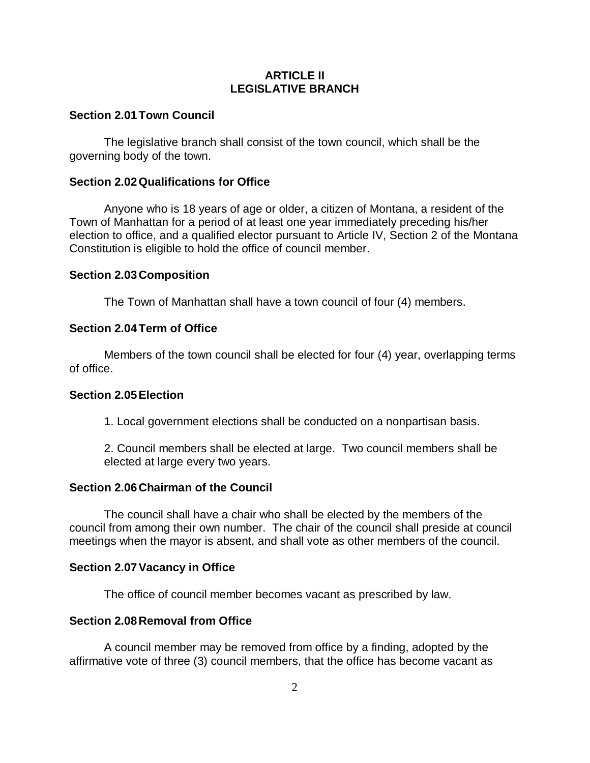## **ARTICLE II LEGISLATIVE BRANCH**

## **Section 2.01Town Council**

The legislative branch shall consist of the town council, which shall be the governing body of the town.

## **Section 2.02Qualifications for Office**

Anyone who is 18 years of age or older, a citizen of Montana, a resident of the Town of Manhattan for a period of at least one year immediately preceding his/her election to office, and a qualified elector pursuant to Article IV, Section 2 of the Montana Constitution is eligible to hold the office of council member.

#### **Section 2.03Composition**

The Town of Manhattan shall have a town council of four (4) members.

## **Section 2.04Term of Office**

Members of the town council shall be elected for four (4) year, overlapping terms of office.

#### **Section 2.05Election**

1. Local government elections shall be conducted on a nonpartisan basis.

2. Council members shall be elected at large. Two council members shall be elected at large every two years.

#### **Section 2.06Chairman of the Council**

The council shall have a chair who shall be elected by the members of the council from among their own number. The chair of the council shall preside at council meetings when the mayor is absent, and shall vote as other members of the council.

## **Section 2.07Vacancy in Office**

The office of council member becomes vacant as prescribed by law.

#### **Section 2.08Removal from Office**

A council member may be removed from office by a finding, adopted by the affirmative vote of three (3) council members, that the office has become vacant as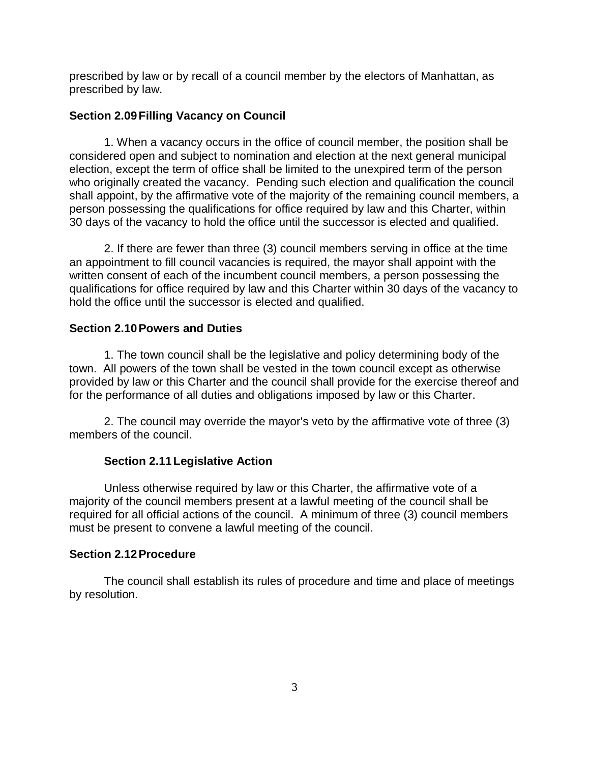prescribed by law or by recall of a council member by the electors of Manhattan, as prescribed by law.

## **Section 2.09Filling Vacancy on Council**

1. When a vacancy occurs in the office of council member, the position shall be considered open and subject to nomination and election at the next general municipal election, except the term of office shall be limited to the unexpired term of the person who originally created the vacancy. Pending such election and qualification the council shall appoint, by the affirmative vote of the majority of the remaining council members, a person possessing the qualifications for office required by law and this Charter, within 30 days of the vacancy to hold the office until the successor is elected and qualified.

2. If there are fewer than three (3) council members serving in office at the time an appointment to fill council vacancies is required, the mayor shall appoint with the written consent of each of the incumbent council members, a person possessing the qualifications for office required by law and this Charter within 30 days of the vacancy to hold the office until the successor is elected and qualified.

## **Section 2.10Powers and Duties**

1. The town council shall be the legislative and policy determining body of the town. All powers of the town shall be vested in the town council except as otherwise provided by law or this Charter and the council shall provide for the exercise thereof and for the performance of all duties and obligations imposed by law or this Charter.

2. The council may override the mayor's veto by the affirmative vote of three (3) members of the council.

## **Section 2.11Legislative Action**

Unless otherwise required by law or this Charter, the affirmative vote of a majority of the council members present at a lawful meeting of the council shall be required for all official actions of the council. A minimum of three (3) council members must be present to convene a lawful meeting of the council.

#### **Section 2.12Procedure**

The council shall establish its rules of procedure and time and place of meetings by resolution.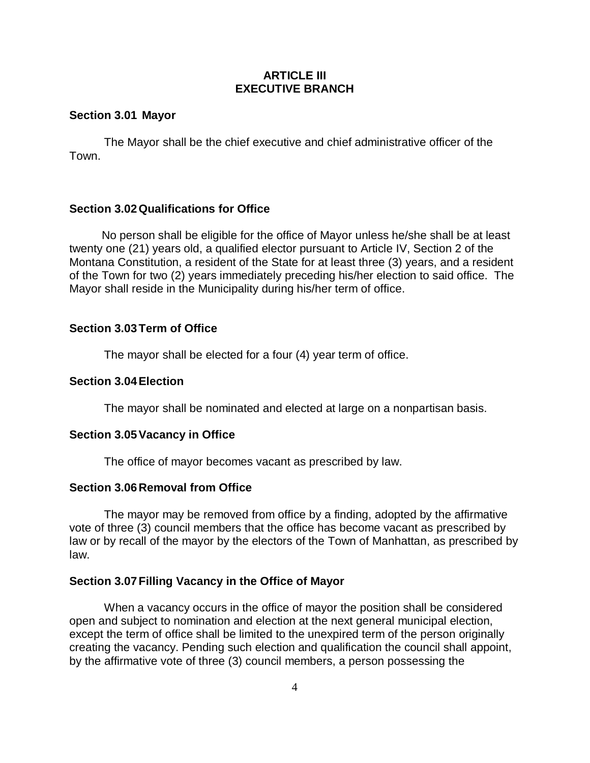## **ARTICLE III EXECUTIVE BRANCH**

## **Section 3.01 Mayor**

The Mayor shall be the chief executive and chief administrative officer of the Town.

## **Section 3.02Qualifications for Office**

 No person shall be eligible for the office of Mayor unless he/she shall be at least twenty one (21) years old, a qualified elector pursuant to Article IV, Section 2 of the Montana Constitution, a resident of the State for at least three (3) years, and a resident of the Town for two (2) years immediately preceding his/her election to said office. The Mayor shall reside in the Municipality during his/her term of office.

## **Section 3.03Term of Office**

The mayor shall be elected for a four (4) year term of office.

## **Section 3.04Election**

The mayor shall be nominated and elected at large on a nonpartisan basis.

#### **Section 3.05Vacancy in Office**

The office of mayor becomes vacant as prescribed by law.

#### **Section 3.06Removal from Office**

The mayor may be removed from office by a finding, adopted by the affirmative vote of three (3) council members that the office has become vacant as prescribed by law or by recall of the mayor by the electors of the Town of Manhattan, as prescribed by law.

#### **Section 3.07Filling Vacancy in the Office of Mayor**

When a vacancy occurs in the office of mayor the position shall be considered open and subject to nomination and election at the next general municipal election, except the term of office shall be limited to the unexpired term of the person originally creating the vacancy. Pending such election and qualification the council shall appoint, by the affirmative vote of three (3) council members, a person possessing the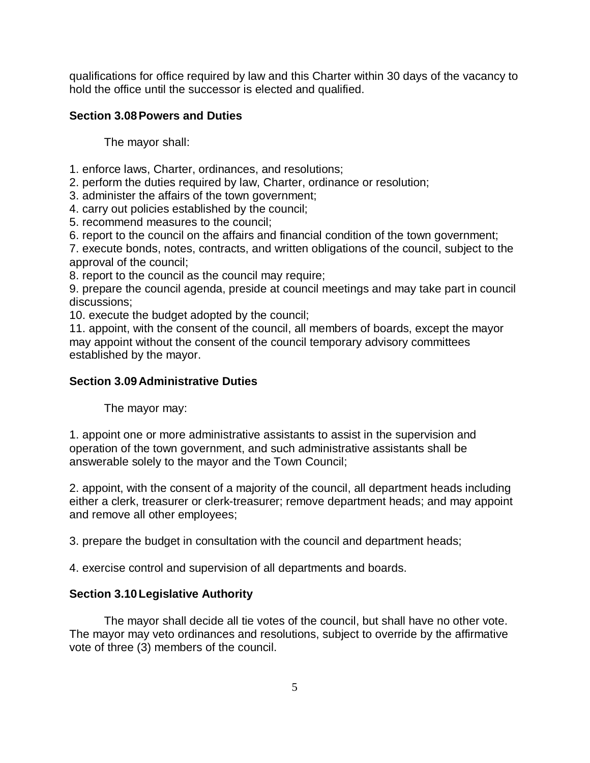qualifications for office required by law and this Charter within 30 days of the vacancy to hold the office until the successor is elected and qualified.

# **Section 3.08Powers and Duties**

The mayor shall:

- 1. enforce laws, Charter, ordinances, and resolutions;
- 2. perform the duties required by law, Charter, ordinance or resolution;
- 3. administer the affairs of the town government;
- 4. carry out policies established by the council;
- 5. recommend measures to the council;
- 6. report to the council on the affairs and financial condition of the town government;

7. execute bonds, notes, contracts, and written obligations of the council, subject to the approval of the council;

8. report to the council as the council may require;

9. prepare the council agenda, preside at council meetings and may take part in council discussions;

10. execute the budget adopted by the council;

11. appoint, with the consent of the council, all members of boards, except the mayor may appoint without the consent of the council temporary advisory committees established by the mayor.

# **Section 3.09Administrative Duties**

The mayor may:

1. appoint one or more administrative assistants to assist in the supervision and operation of the town government, and such administrative assistants shall be answerable solely to the mayor and the Town Council;

2. appoint, with the consent of a majority of the council, all department heads including either a clerk, treasurer or clerk-treasurer; remove department heads; and may appoint and remove all other employees;

3. prepare the budget in consultation with the council and department heads;

4. exercise control and supervision of all departments and boards.

# **Section 3.10Legislative Authority**

The mayor shall decide all tie votes of the council, but shall have no other vote. The mayor may veto ordinances and resolutions, subject to override by the affirmative vote of three (3) members of the council.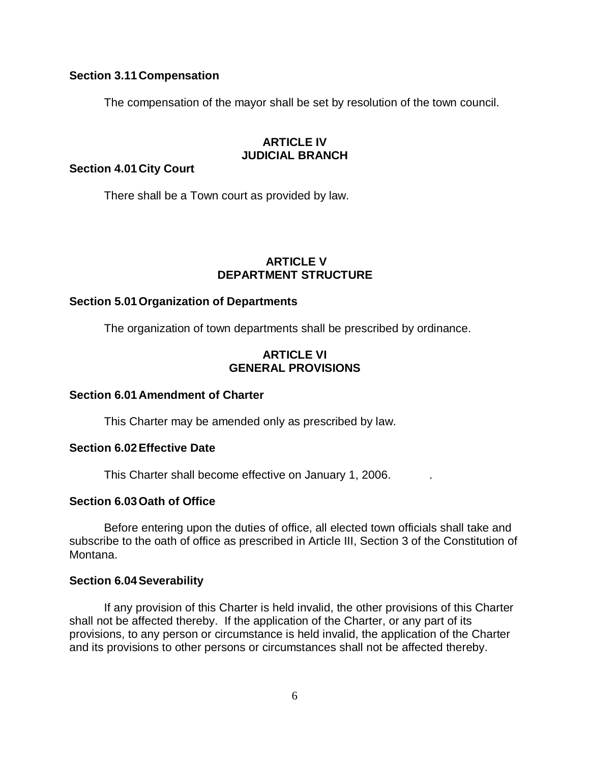### **Section 3.11Compensation**

The compensation of the mayor shall be set by resolution of the town council.

# **ARTICLE IV JUDICIAL BRANCH**

**Section 4.01City Court**

There shall be a Town court as provided by law.

### **ARTICLE V DEPARTMENT STRUCTURE**

#### **Section 5.01 Organization of Departments**

The organization of town departments shall be prescribed by ordinance.

## **ARTICLE VI GENERAL PROVISIONS**

#### **Section 6.01Amendment of Charter**

This Charter may be amended only as prescribed by law.

#### **Section 6.02Effective Date**

This Charter shall become effective on January 1, 2006. .

#### **Section 6.03Oath of Office**

Before entering upon the duties of office, all elected town officials shall take and subscribe to the oath of office as prescribed in Article III, Section 3 of the Constitution of Montana.

#### **Section 6.04Severability**

If any provision of this Charter is held invalid, the other provisions of this Charter shall not be affected thereby. If the application of the Charter, or any part of its provisions, to any person or circumstance is held invalid, the application of the Charter and its provisions to other persons or circumstances shall not be affected thereby.